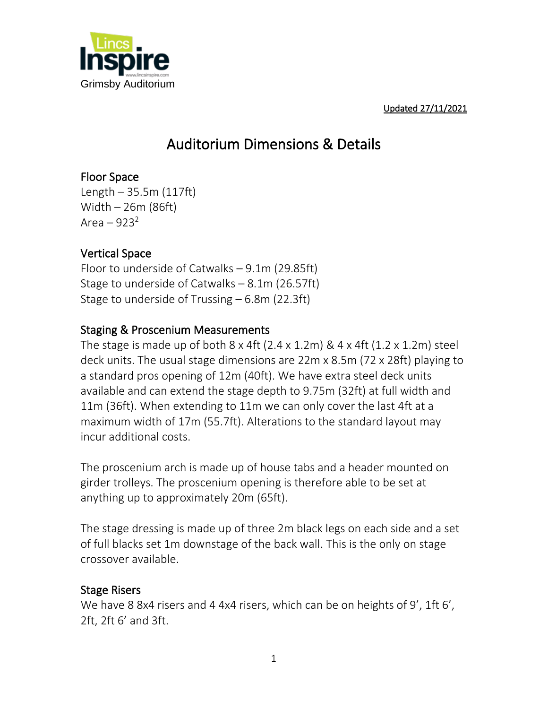

Updated 27/11/2021

### Auditorium Dimensions & Details

### Floor Space

Length – 35.5m (117ft) Width – 26m (86ft) Area –  $923^2$ 

#### Vertical Space

Floor to underside of Catwalks – 9.1m (29.85ft) Stage to underside of Catwalks – 8.1m (26.57ft) Stage to underside of Trussing – 6.8m (22.3ft)

#### Staging & Proscenium Measurements

The stage is made up of both  $8 \times 4$ ft (2.4  $\times$  1.2m)  $\& 4 \times 4$ ft (1.2  $\times$  1.2m) steel deck units. The usual stage dimensions are 22m x 8.5m (72 x 28ft) playing to a standard pros opening of 12m (40ft). We have extra steel deck units available and can extend the stage depth to 9.75m (32ft) at full width and 11m (36ft). When extending to 11m we can only cover the last 4ft at a maximum width of 17m (55.7ft). Alterations to the standard layout may incur additional costs.

The proscenium arch is made up of house tabs and a header mounted on girder trolleys. The proscenium opening is therefore able to be set at anything up to approximately 20m (65ft).

The stage dressing is made up of three 2m black legs on each side and a set of full blacks set 1m downstage of the back wall. This is the only on stage crossover available.

#### Stage Risers

We have 8 8x4 risers and 4 4x4 risers, which can be on heights of 9', 1ft 6', 2ft, 2ft 6' and 3ft.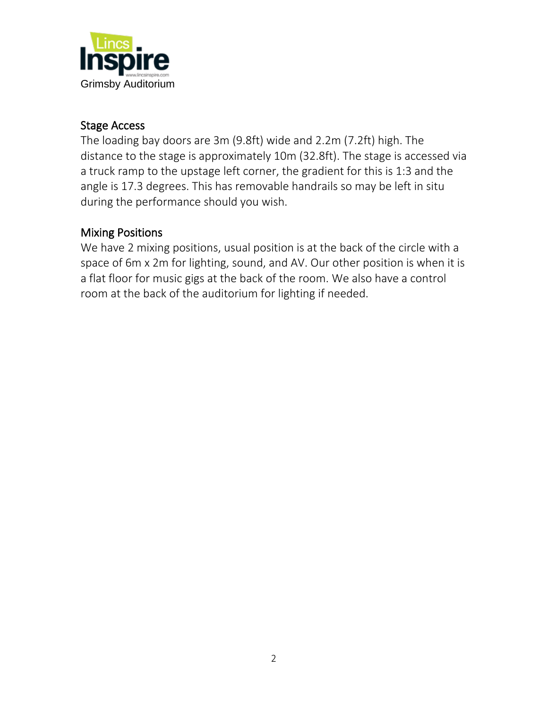

#### Stage Access

The loading bay doors are 3m (9.8ft) wide and 2.2m (7.2ft) high. The distance to the stage is approximately 10m (32.8ft). The stage is accessed via a truck ramp to the upstage left corner, the gradient for this is 1:3 and the angle is 17.3 degrees. This has removable handrails so may be left in situ during the performance should you wish.

#### Mixing Positions

We have 2 mixing positions, usual position is at the back of the circle with a space of 6m x 2m for lighting, sound, and AV. Our other position is when it is a flat floor for music gigs at the back of the room. We also have a control room at the back of the auditorium for lighting if needed.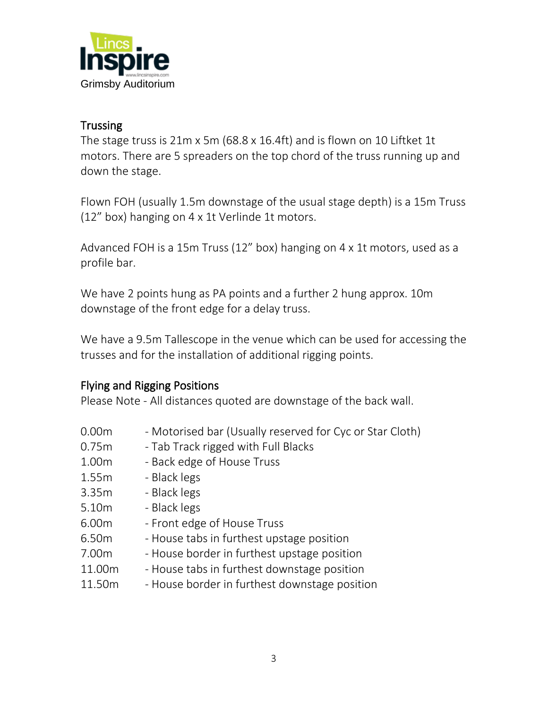

#### **Trussing**

The stage truss is 21m x 5m (68.8 x 16.4ft) and is flown on 10 Liftket 1t motors. There are 5 spreaders on the top chord of the truss running up and down the stage.

Flown FOH (usually 1.5m downstage of the usual stage depth) is a 15m Truss (12" box) hanging on 4 x 1t Verlinde 1t motors.

Advanced FOH is a 15m Truss (12" box) hanging on 4 x 1t motors, used as a profile bar.

We have 2 points hung as PA points and a further 2 hung approx. 10m downstage of the front edge for a delay truss.

We have a 9.5m Tallescope in the venue which can be used for accessing the trusses and for the installation of additional rigging points.

#### Flying and Rigging Positions

Please Note - All distances quoted are downstage of the back wall.

- 0.00m Motorised bar (Usually reserved for Cyc or Star Cloth)
- 0.75m Tab Track rigged with Full Blacks
- 1.00m Back edge of House Truss
- 1.55m Black legs
- 3.35m Black legs
- 5.10m Black legs
- 6.00m Front edge of House Truss
- 6.50m House tabs in furthest upstage position
- 7.00m House border in furthest upstage position
- 11.00m House tabs in furthest downstage position
- 11.50m House border in furthest downstage position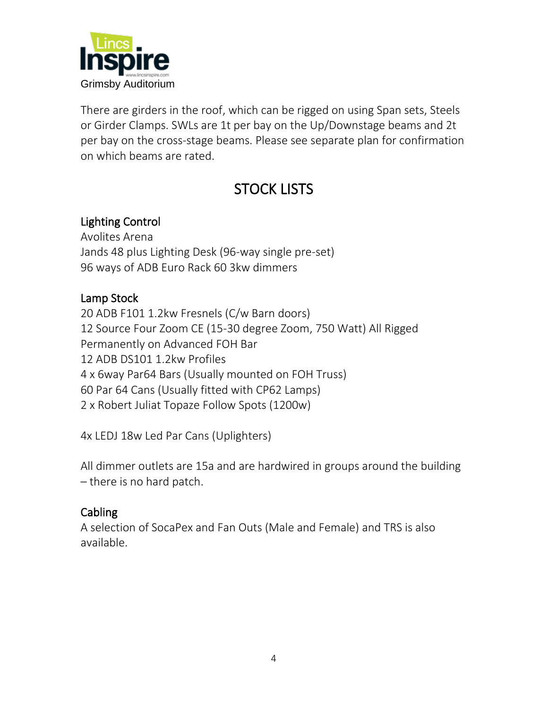

There are girders in the roof, which can be rigged on using Span sets, Steels or Girder Clamps. SWLs are 1t per bay on the Up/Downstage beams and 2t per bay on the cross-stage beams. Please see separate plan for confirmation on which beams are rated.

# STOCK LISTS

#### Lighting Control

Avolites Arena Jands 48 plus Lighting Desk (96-way single pre-set) 96 ways of ADB Euro Rack 60 3kw dimmers

#### Lamp Stock

20 ADB F101 1.2kw Fresnels (C/w Barn doors) 12 Source Four Zoom CE (15-30 degree Zoom, 750 Watt) All Rigged Permanently on Advanced FOH Bar 12 ADB DS101 1.2kw Profiles 4 x 6way Par64 Bars (Usually mounted on FOH Truss) 60 Par 64 Cans (Usually fitted with CP62 Lamps) 2 x Robert Juliat Topaze Follow Spots (1200w)

4x LEDJ 18w Led Par Cans (Uplighters)

All dimmer outlets are 15a and are hardwired in groups around the building – there is no hard patch.

#### Cabling

A selection of SocaPex and Fan Outs (Male and Female) and TRS is also available.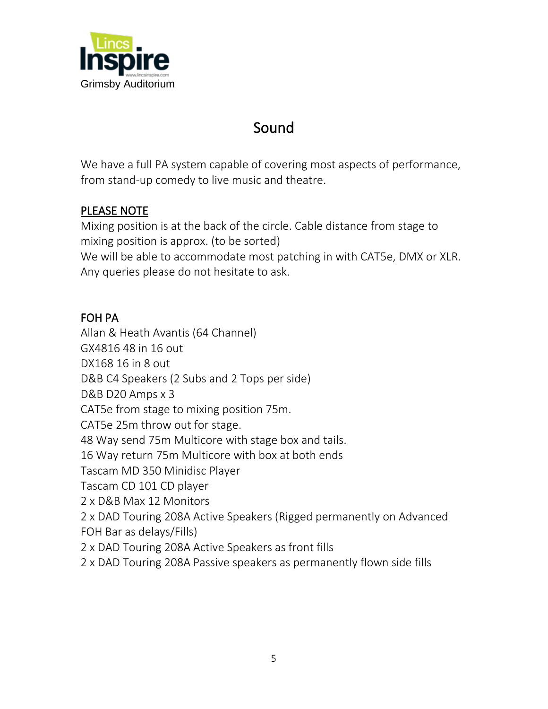

### Sound

We have a full PA system capable of covering most aspects of performance, from stand-up comedy to live music and theatre.

#### PLEASE NOTE

Mixing position is at the back of the circle. Cable distance from stage to mixing position is approx. (to be sorted) We will be able to accommodate most patching in with CAT5e, DMX or XLR. Any queries please do not hesitate to ask.

#### FOH PA

Allan & Heath Avantis (64 Channel) GX4816 48 in 16 out DX168 16 in 8 out D&B C4 Speakers (2 Subs and 2 Tops per side) D&B D20 Amps x 3 CAT5e from stage to mixing position 75m. CAT5e 25m throw out for stage. 48 Way send 75m Multicore with stage box and tails. 16 Way return 75m Multicore with box at both ends Tascam MD 350 Minidisc Player Tascam CD 101 CD player 2 x D&B Max 12 Monitors 2 x DAD Touring 208A Active Speakers (Rigged permanently on Advanced FOH Bar as delays/Fills) 2 x DAD Touring 208A Active Speakers as front fills 2 x DAD Touring 208A Passive speakers as permanently flown side fills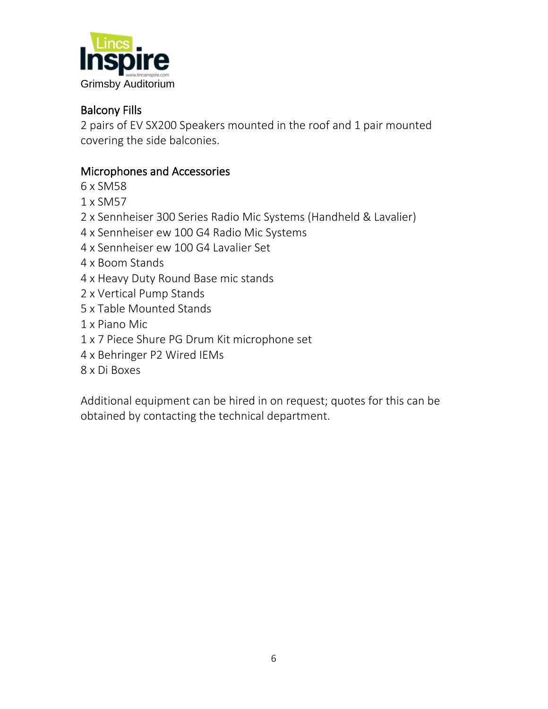

#### Balcony Fills

2 pairs of EV SX200 Speakers mounted in the roof and 1 pair mounted covering the side balconies.

#### Microphones and Accessories

- 6 x SM58
- 1 x SM57
- 2 x Sennheiser 300 Series Radio Mic Systems (Handheld & Lavalier)
- 4 x Sennheiser ew 100 G4 Radio Mic Systems
- 4 x Sennheiser ew 100 G4 Lavalier Set
- 4 x Boom Stands
- 4 x Heavy Duty Round Base mic stands
- 2 x Vertical Pump Stands
- 5 x Table Mounted Stands
- 1 x Piano Mic
- 1 x 7 Piece Shure PG Drum Kit microphone set
- 4 x Behringer P2 Wired IEMs
- 8 x Di Boxes

Additional equipment can be hired in on request; quotes for this can be obtained by contacting the technical department.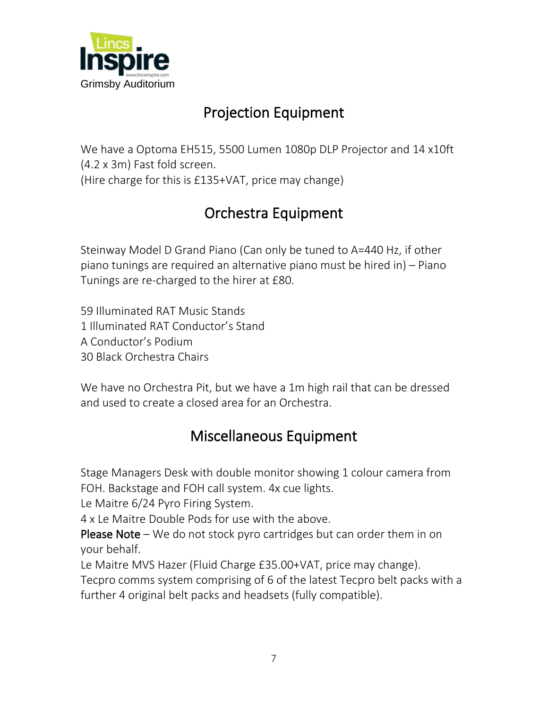

# Projection Equipment

We have a Optoma EH515, 5500 Lumen 1080p DLP Projector and 14 x10ft (4.2 x 3m) Fast fold screen. (Hire charge for this is £135+VAT, price may change)

# Orchestra Equipment

Steinway Model D Grand Piano (Can only be tuned to A=440 Hz, if other piano tunings are required an alternative piano must be hired in) – Piano Tunings are re-charged to the hirer at £80.

59 Illuminated RAT Music Stands 1 Illuminated RAT Conductor's Stand A Conductor's Podium 30 Black Orchestra Chairs

We have no Orchestra Pit, but we have a 1m high rail that can be dressed and used to create a closed area for an Orchestra.

## Miscellaneous Equipment

Stage Managers Desk with double monitor showing 1 colour camera from FOH. Backstage and FOH call system. 4x cue lights.

Le Maitre 6/24 Pyro Firing System.

4 x Le Maitre Double Pods for use with the above.

**Please Note** – We do not stock pyro cartridges but can order them in on your behalf.

Le Maitre MVS Hazer (Fluid Charge £35.00+VAT, price may change). Tecpro comms system comprising of 6 of the latest Tecpro belt packs with a further 4 original belt packs and headsets (fully compatible).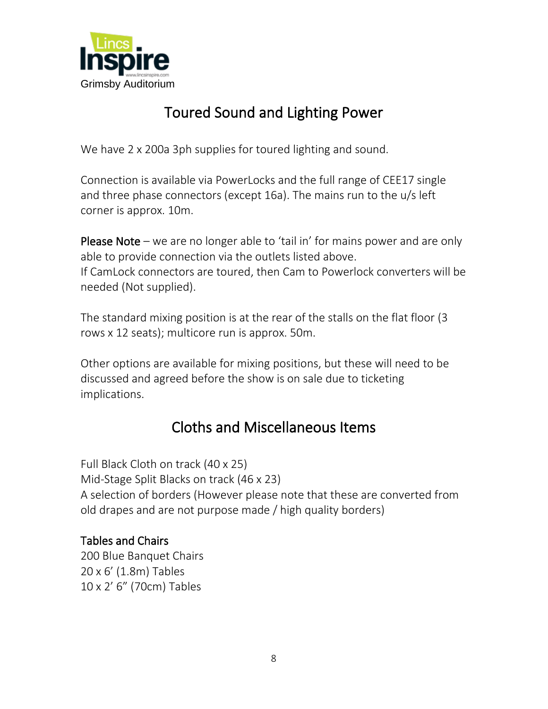

## Toured Sound and Lighting Power

We have 2 x 200a 3ph supplies for toured lighting and sound.

Connection is available via PowerLocks and the full range of CEE17 single and three phase connectors (except 16a). The mains run to the u/s left corner is approx. 10m.

Please Note – we are no longer able to 'tail in' for mains power and are only able to provide connection via the outlets listed above. If CamLock connectors are toured, then Cam to Powerlock converters will be needed (Not supplied).

The standard mixing position is at the rear of the stalls on the flat floor (3 rows x 12 seats); multicore run is approx. 50m.

Other options are available for mixing positions, but these will need to be discussed and agreed before the show is on sale due to ticketing implications.

### Cloths and Miscellaneous Items

Full Black Cloth on track (40 x 25) Mid-Stage Split Blacks on track (46 x 23) A selection of borders (However please note that these are converted from old drapes and are not purpose made / high quality borders)

#### Tables and Chairs

200 Blue Banquet Chairs 20 x 6' (1.8m) Tables 10 x 2' 6" (70cm) Tables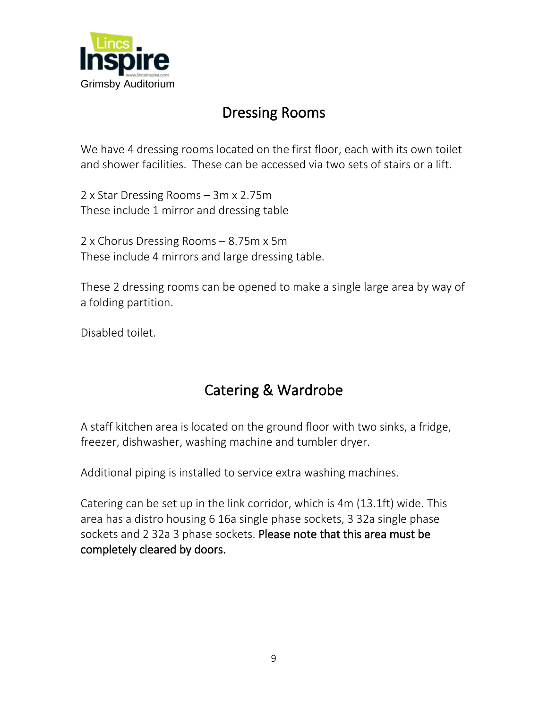

### Dressing Rooms

We have 4 dressing rooms located on the first floor, each with its own toilet and shower facilities. These can be accessed via two sets of stairs or a lift.

2 x Star Dressing Rooms – 3m x 2.75m These include 1 mirror and dressing table

2 x Chorus Dressing Rooms – 8.75m x 5m These include 4 mirrors and large dressing table.

These 2 dressing rooms can be opened to make a single large area by way of a folding partition.

Disabled toilet.

# Catering & Wardrobe

A staff kitchen area is located on the ground floor with two sinks, a fridge, freezer, dishwasher, washing machine and tumbler dryer.

Additional piping is installed to service extra washing machines.

Catering can be set up in the link corridor, which is 4m (13.1ft) wide. This area has a distro housing 6 16a single phase sockets, 3 32a single phase sockets and 2 32a 3 phase sockets. Please note that this area must be completely cleared by doors.